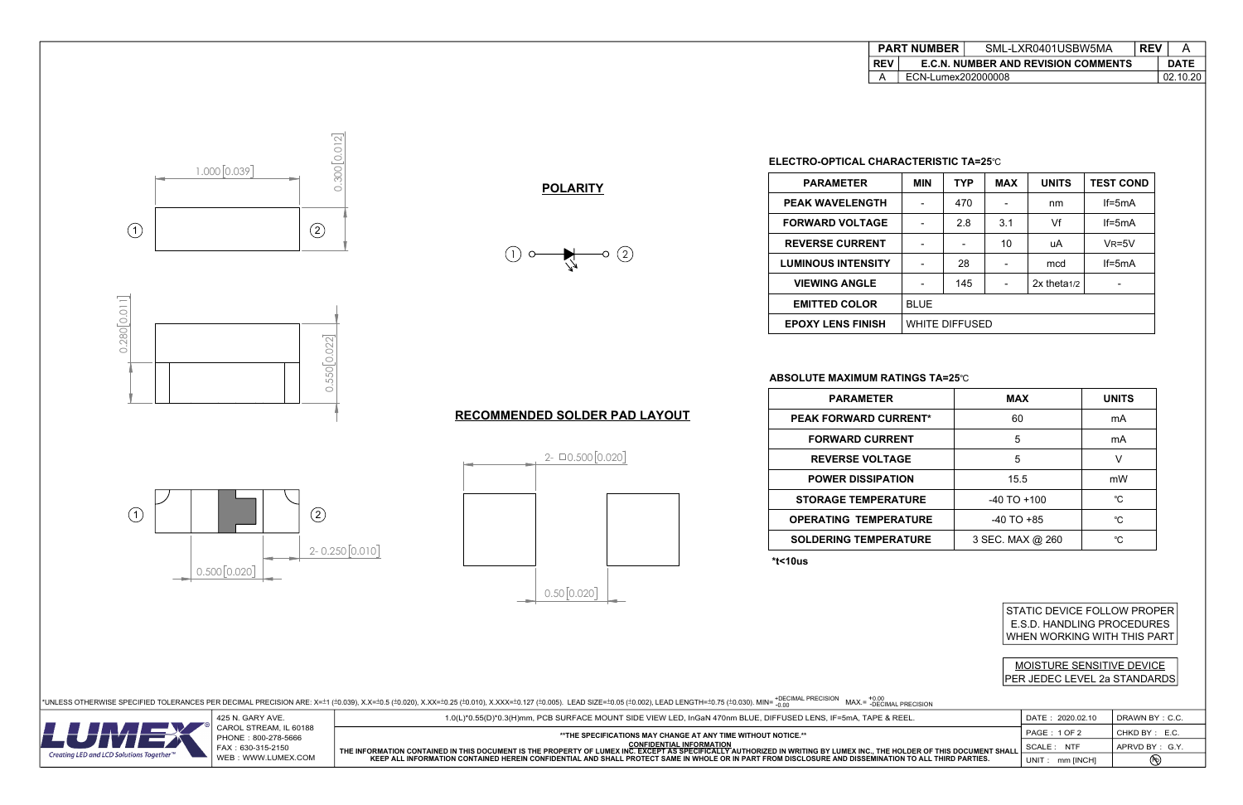0.300 0.012

300 [0.012]

 $\circ$ 



 $1.000[0.039]$ 

 $\begin{array}{|c|c|c|c|c|}\n\hline\n1 & 1 & 2 \\
\hline\n\end{array}$ 



### **ELECTRO-OPTICAL CHARACTERISTIC TA=25**℃

## **ABSOLUTE MAXIMUM RATINGS TA=25**℃

**\*t<10us**

STATIC DEVICE FOLLOW PROPER E.S.D. HANDLING PROCEDURES WHEN WORKING WITH THIS PART







 $2 - 0.500[0.020]$ 

## MOISTURE SENSITIVE DEVICE PER JEDEC LEVEL 2a STANDARDS











| <b>PARAMETER</b>             | <b>MAX</b>       | <b>UNITS</b> |
|------------------------------|------------------|--------------|
| <b>PEAK FORWARD CURRENT*</b> | 60               | mA           |
| <b>FORWARD CURRENT</b>       | 5                | mA           |
| <b>REVERSE VOLTAGE</b>       | 5                | V            |
| <b>POWER DISSIPATION</b>     | 15.5             | mW           |
| <b>STORAGE TEMPERATURE</b>   | $-40$ TO $+100$  | °C.          |
| <b>OPERATING TEMPERATURE</b> | $-40$ TO $+85$   | °C           |
| <b>SOLDERING TEMPERATURE</b> | 3 SEC. MAX @ 260 | °C.          |
|                              |                  |              |



| <b>PARAMETER</b>          | <b>MIN</b>  | TYP                   | <b>MAX</b> | <b>UNITS</b>     | <b>TEST COND</b> |
|---------------------------|-------------|-----------------------|------------|------------------|------------------|
| <b>PEAK WAVELENGTH</b>    |             | 470                   |            | nm               | $If=5mA$         |
| <b>FORWARD VOLTAGE</b>    |             | 2.8                   | 3.1        | Vf               | $If=5mA$         |
| <b>REVERSE CURRENT</b>    |             |                       | 10         | uA               | $V_R = 5V$       |
| <b>LUMINOUS INTENSITY</b> |             | 28                    |            | mcd              | $If=5mA$         |
| <b>VIEWING ANGLE</b>      |             | 145                   |            | $2x$ theta $1/2$ |                  |
| <b>EMITTED COLOR</b>      | <b>BLUE</b> |                       |            |                  |                  |
| <b>EPOXY LENS FINISH</b>  |             | <b>WHITE DIFFUSED</b> |            |                  |                  |

|                           | DATE: 2020.02.10    | DRAWN BY: C.C. |
|---------------------------|---------------------|----------------|
|                           | <b>PAGE: 1 OF 2</b> | CHKD BY: E.C.  |
| ER OF THIS DOCUMENT SHALL | SCALE: NTF          | APRVD BY: G.Y. |
| ) ALL THIRD PARTIES.      | UNIT: mm [INCH]     | Pb)            |

| <b>PART NUMBER</b> |                                            | SML-LXR0401USBW5MA | <b>REV</b> |             |
|--------------------|--------------------------------------------|--------------------|------------|-------------|
| REV                | <b>E.C.N. NUMBER AND REVISION COMMENTS</b> |                    |            | <b>DATE</b> |
|                    | ECN-Lumex202000008                         |                    |            | 02.10.20    |
|                    |                                            |                    |            |             |

| PART |  |  |
|------|--|--|
| КF   |  |  |
|      |  |  |